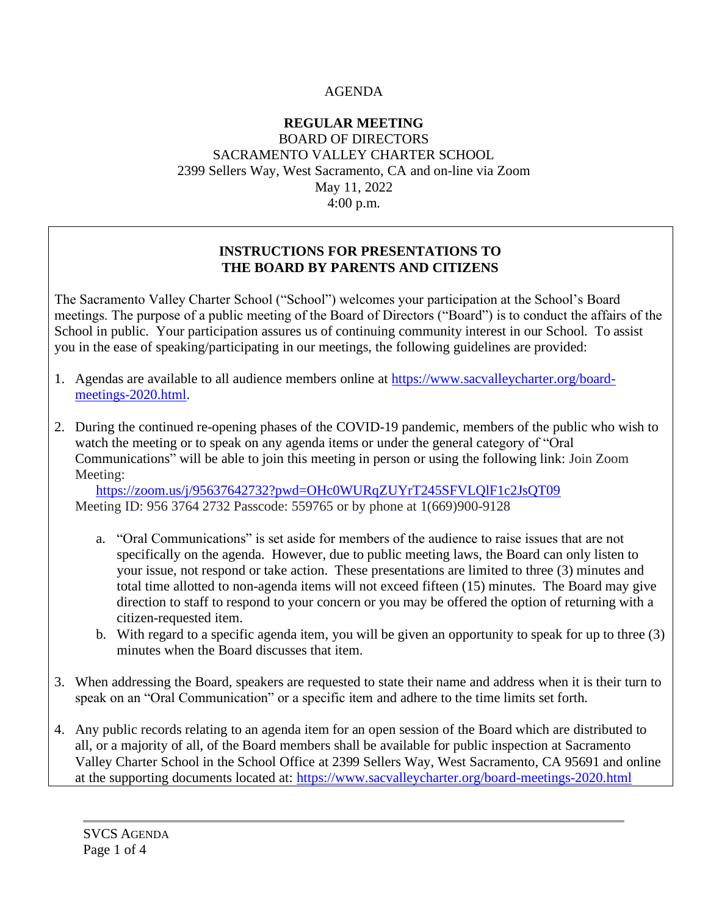### AGENDA

#### **REGULAR MEETING** BOARD OF DIRECTORS SACRAMENTO VALLEY CHARTER SCHOOL 2399 Sellers Way, West Sacramento, CA and on-line via Zoom May 11, 2022 4:00 p.m.

### **INSTRUCTIONS FOR PRESENTATIONS TO THE BOARD BY PARENTS AND CITIZENS**

The Sacramento Valley Charter School ("School") welcomes your participation at the School's Board meetings. The purpose of a public meeting of the Board of Directors ("Board") is to conduct the affairs of the School in public. Your participation assures us of continuing community interest in our School. To assist you in the ease of speaking/participating in our meetings, the following guidelines are provided:

- 1. Agendas are available to all audience members online at [https://www.sacvalleycharter.org/board](about:blank)[meetings-2020.html.](about:blank)
- 2. During the continued re-opening phases of the COVID-19 pandemic, members of the public who wish to watch the meeting or to speak on any agenda items or under the general category of "Oral Communications" will be able to join this meeting in person or using the following link: Join Zoom Meeting:

<https://zoom.us/j/95637642732?pwd=OHc0WURqZUYrT245SFVLQlF1c2JsQT09> Meeting ID: 956 3764 2732 Passcode: 559765 or by phone at 1(669)900-9128

- a. "Oral Communications" is set aside for members of the audience to raise issues that are not specifically on the agenda. However, due to public meeting laws, the Board can only listen to your issue, not respond or take action. These presentations are limited to three (3) minutes and total time allotted to non-agenda items will not exceed fifteen (15) minutes. The Board may give direction to staff to respond to your concern or you may be offered the option of returning with a citizen-requested item.
- b. With regard to a specific agenda item, you will be given an opportunity to speak for up to three (3) minutes when the Board discusses that item.
- 3. When addressing the Board, speakers are requested to state their name and address when it is their turn to speak on an "Oral Communication" or a specific item and adhere to the time limits set forth.
- 4. Any public records relating to an agenda item for an open session of the Board which are distributed to all, or a majority of all, of the Board members shall be available for public inspection at Sacramento Valley Charter School in the School Office at 2399 Sellers Way, West Sacramento, CA 95691 and online at the supporting documents located at: [https://www.sacvalleycharter.org/board-meetings-2020.html](about:blank)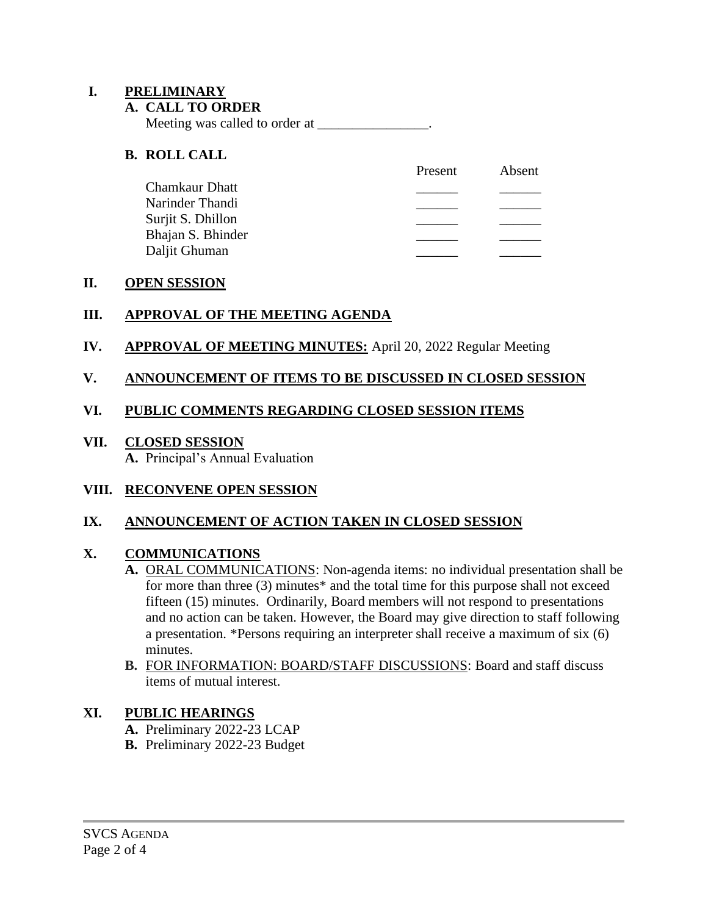#### **I. PRELIMINARY**

#### **A. CALL TO ORDER**

Meeting was called to order at \_\_\_\_\_\_\_\_\_\_\_\_\_\_\_\_.

#### **B. ROLL CALL**

|                   | Present | Absent |
|-------------------|---------|--------|
| Chamkaur Dhatt    |         |        |
| Narinder Thandi   |         |        |
| Surjit S. Dhillon |         |        |
| Bhajan S. Bhinder |         |        |
| Daljit Ghuman     |         |        |

#### **II. OPEN SESSION**

#### **III. APPROVAL OF THE MEETING AGENDA**

#### **IV. APPROVAL OF MEETING MINUTES:** April 20, 2022 Regular Meeting

#### **V. ANNOUNCEMENT OF ITEMS TO BE DISCUSSED IN CLOSED SESSION**

#### **VI. PUBLIC COMMENTS REGARDING CLOSED SESSION ITEMS**

### **VII. CLOSED SESSION**

**A.** Principal's Annual Evaluation

#### **VIII. RECONVENE OPEN SESSION**

### **IX. ANNOUNCEMENT OF ACTION TAKEN IN CLOSED SESSION**

#### **X. COMMUNICATIONS**

- **A.** ORAL COMMUNICATIONS: Non-agenda items: no individual presentation shall be for more than three (3) minutes\* and the total time for this purpose shall not exceed fifteen (15) minutes. Ordinarily, Board members will not respond to presentations and no action can be taken. However, the Board may give direction to staff following a presentation. \*Persons requiring an interpreter shall receive a maximum of six (6) minutes.
- **B.** FOR INFORMATION: BOARD/STAFF DISCUSSIONS: Board and staff discuss items of mutual interest.

### **XI. PUBLIC HEARINGS**

- **A.** Preliminary 2022-23 LCAP
- **B.** Preliminary 2022-23 Budget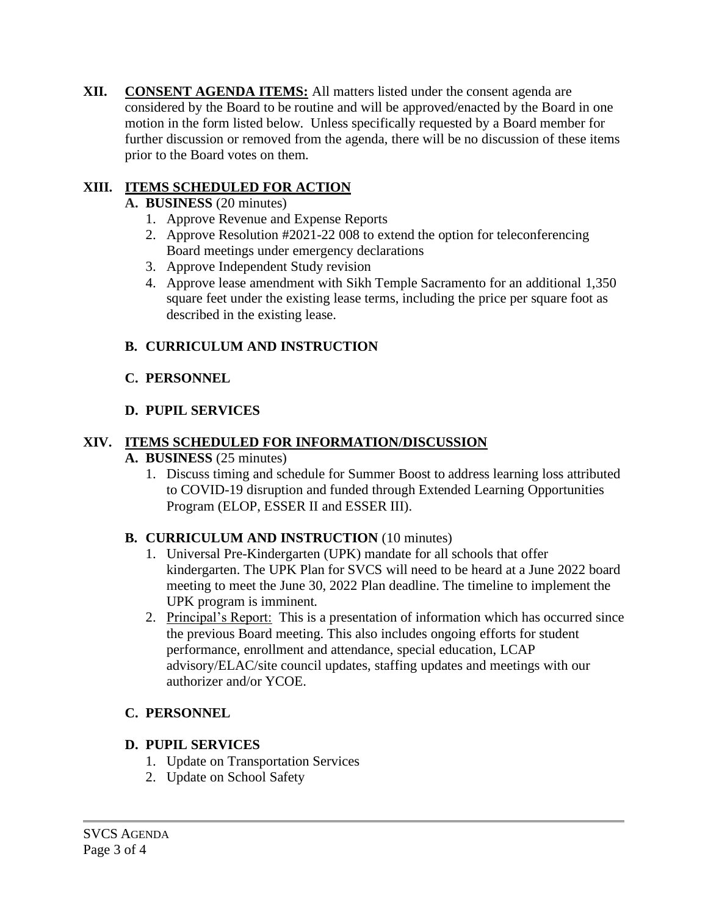**XII. CONSENT AGENDA ITEMS:** All matters listed under the consent agenda are considered by the Board to be routine and will be approved/enacted by the Board in one motion in the form listed below. Unless specifically requested by a Board member for further discussion or removed from the agenda, there will be no discussion of these items prior to the Board votes on them.

### **XIII. ITEMS SCHEDULED FOR ACTION**

- **A. BUSINESS** (20 minutes)
	- 1. Approve Revenue and Expense Reports
	- 2. Approve Resolution #2021-22 008 to extend the option for teleconferencing Board meetings under emergency declarations
	- 3. Approve Independent Study revision
	- 4. Approve lease amendment with Sikh Temple Sacramento for an additional 1,350 square feet under the existing lease terms, including the price per square foot as described in the existing lease.

# **B. CURRICULUM AND INSTRUCTION**

## **C. PERSONNEL**

## **D. PUPIL SERVICES**

## **XIV. ITEMS SCHEDULED FOR INFORMATION/DISCUSSION**

### **A. BUSINESS** (25 minutes)

1. Discuss timing and schedule for Summer Boost to address learning loss attributed to COVID-19 disruption and funded through Extended Learning Opportunities Program (ELOP, ESSER II and ESSER III).

# **B. CURRICULUM AND INSTRUCTION** (10 minutes)

- 1. Universal Pre-Kindergarten (UPK) mandate for all schools that offer kindergarten. The UPK Plan for SVCS will need to be heard at a June 2022 board meeting to meet the June 30, 2022 Plan deadline. The timeline to implement the UPK program is imminent.
- 2. Principal's Report: This is a presentation of information which has occurred since the previous Board meeting. This also includes ongoing efforts for student performance, enrollment and attendance, special education, LCAP advisory/ELAC/site council updates, staffing updates and meetings with our authorizer and/or YCOE.

# **C. PERSONNEL**

# **D. PUPIL SERVICES**

- 1. Update on Transportation Services
- 2. Update on School Safety